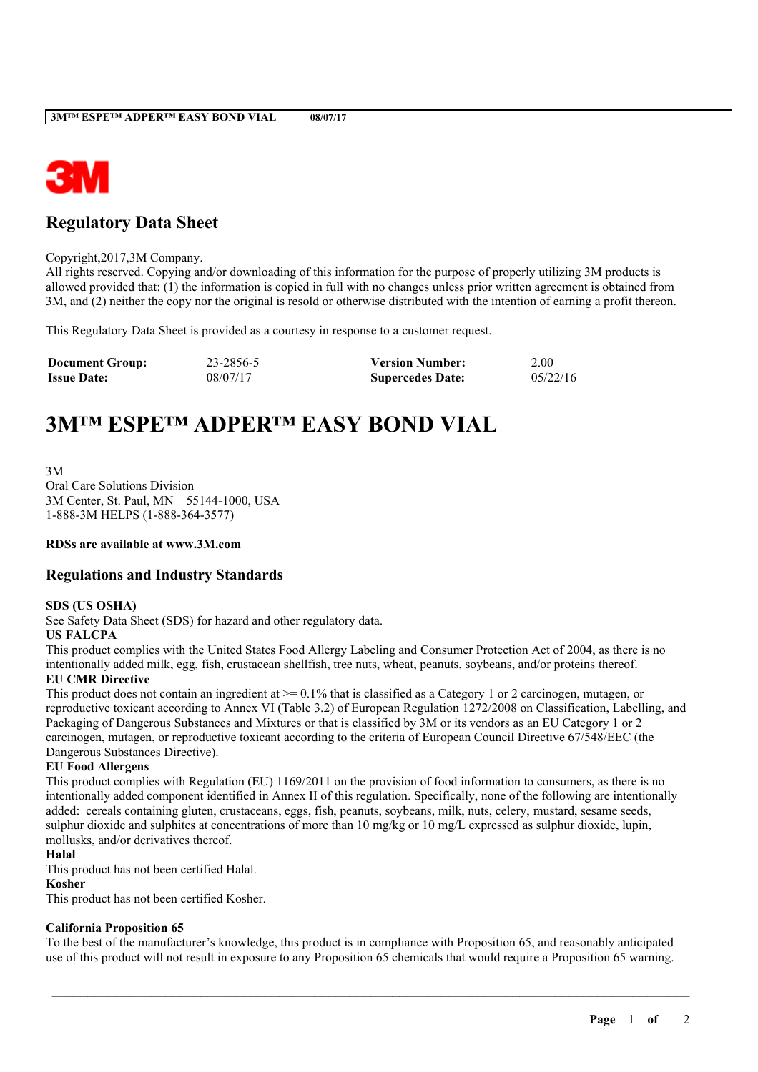

# **Regulatory Data Sheet**

Copyright,2017,3M Company.

All rights reserved. Copying and/or downloading of this information for the purpose of properly utilizing 3M products is allowed provided that: (1) the information is copied in full with no changes unless prior written agreement is obtained from 3M, and (2) neither the copy nor the original is resold or otherwise distributed with the intention of earning a profit thereon.

This Regulatory Data Sheet is provided as a courtesy in response to a customer request.

| <b>Document Group:</b> | 23-2856-5 | <b>Version Number:</b>  | 2.00     |
|------------------------|-----------|-------------------------|----------|
| <b>Issue Date:</b>     | 08/07/17  | <b>Supercedes Date:</b> | 05/22/16 |

# **3M™ ESPE™ ADPER™ EASY BOND VIAL**

3M Oral Care Solutions Division 3M Center, St. Paul, MN 55144-1000, USA 1-888-3M HELPS (1-888-364-3577)

#### **RDSs are available at www.3M.com**

## **Regulations and Industry Standards**

#### **SDS (US OSHA)**

See Safety Data Sheet (SDS) for hazard and other regulatory data.

#### **US FALCPA**

This product complies with the United States Food Allergy Labeling and Consumer Protection Act of 2004, as there is no intentionally added milk, egg, fish, crustacean shellfish, tree nuts, wheat, peanuts, soybeans, and/or proteins thereof.

#### **EU CMR Directive**

This product does not contain an ingredient at  $\geq$  0.1% that is classified as a Category 1 or 2 carcinogen, mutagen, or reproductive toxicant according to Annex VI (Table 3.2) of European Regulation 1272/2008 on Classification, Labelling, and Packaging of Dangerous Substances and Mixtures or that is classified by 3M or its vendors as an EU Category 1 or 2 carcinogen, mutagen, or reproductive toxicant according to the criteria of European Council Directive 67/548/EEC (the Dangerous Substances Directive).

#### **EU Food Allergens**

This product complies with Regulation (EU) 1169/2011 on the provision of food information to consumers, as there is no intentionally added component identified in Annex II of this regulation. Specifically, none of the following are intentionally added: cereals containing gluten, crustaceans, eggs, fish, peanuts, soybeans, milk, nuts, celery, mustard, sesame seeds, sulphur dioxide and sulphites at concentrations of more than 10 mg/kg or 10 mg/L expressed as sulphur dioxide, lupin, mollusks, and/or derivatives thereof.

#### **Halal**

This product has not been certified Halal.

#### **Kosher**

This product has not been certified Kosher.

#### **California Proposition 65**

To the best of the manufacturer's knowledge, this product is in compliance with Proposition 65, and reasonably anticipated use of this product will not result in exposure to any Proposition 65 chemicals that would require a Proposition 65 warning.

\_\_\_\_\_\_\_\_\_\_\_\_\_\_\_\_\_\_\_\_\_\_\_\_\_\_\_\_\_\_\_\_\_\_\_\_\_\_\_\_\_\_\_\_\_\_\_\_\_\_\_\_\_\_\_\_\_\_\_\_\_\_\_\_\_\_\_\_\_\_\_\_\_\_\_\_\_\_\_\_\_\_\_\_\_\_\_\_\_\_